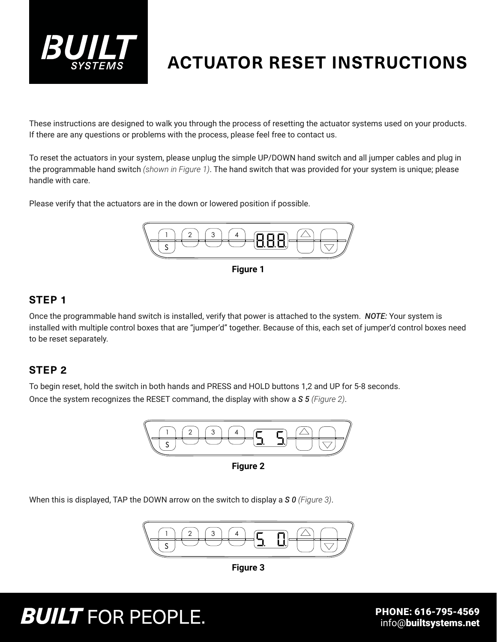

### **ACTUATOR RESET INSTRUCTIONS**

These instructions are designed to walk you through the process of resetting the actuator systems used on your products. If there are any questions or problems with the process, please feel free to contact us.

To reset the actuators in your system, please unplug the simple UP/DOWN hand switch and all jumper cables and plug in the programmable hand switch *(shown in Figure 1)*. The hand switch that was provided for your system is unique; please handle with care.

Please verify that the actuators are in the down or lowered position if possible.



**Figure 1**

### **STEP 1**

Once the programmable hand switch is installed, verify that power is attached to the system. *NOTE:* Your system is installed with multiple control boxes that are "jumper'd" together. Because of this, each set of jumper'd control boxes need to be reset separately.

### **STEP 2**

To begin reset, hold the switch in both hands and PRESS and HOLD buttons 1,2 and UP for 5-8 seconds. Once the system recognizes the RESET command, the display with show a *S 5 (Figure 2)*.



**Figure 2**

When this is displayed, TAP the DOWN arrow on the switch to display a *S 0 (Figure 3)*.



**Figure 3**

# **BUILT** FOR PEOPLE.